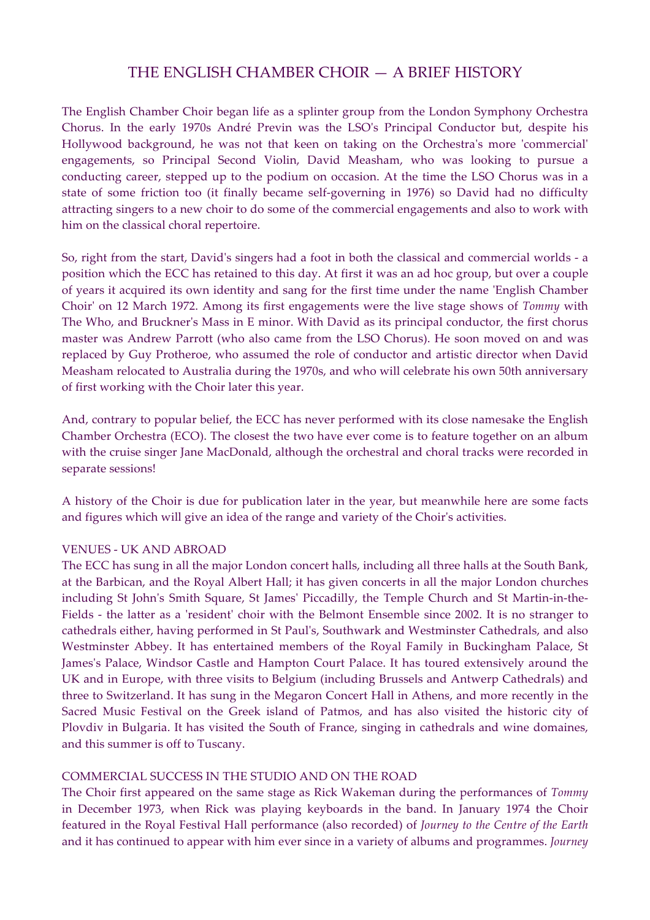# THE ENGLISH CHAMBER CHOIR — A BRIEF HISTORY

The English Chamber Choir began life as a splinter group from the London Symphony Orchestra Chorus. In the early 1970s André Previn was the LSO's Principal Conductor but, despite his Hollywood background, he was not that keen on taking on the Orchestra's more 'commercial' engagements, so Principal Second Violin, David Measham, who was looking to pursue a conducting career, stepped up to the podium on occasion. At the time the LSO Chorus was in a state of some friction too (it finally became self-governing in 1976) so David had no difficulty attracting singers to a new choir to do some of the commercial engagements and also to work with him on the classical choral repertoire.

So, right from the start, David's singers had a foot in both the classical and commercial worlds - a position which the ECC has retained to this day. At first it was an ad hoc group, but over a couple of years it acquired its own identity and sang for the first time under the name 'English Chamber Choir' on 12 March 1972. Among its first engagements were the live stage shows of *Tommy* with The Who, and Bruckner's Mass in E minor. With David as its principal conductor, the first chorus master was Andrew Parrott (who also came from the LSO Chorus). He soon moved on and was replaced by Guy Protheroe, who assumed the role of conductor and artistic director when David Measham relocated to Australia during the 1970s, and who will celebrate his own 50th anniversary of first working with the Choir later this year.

And, contrary to popular belief, the ECC has never performed with its close namesake the English Chamber Orchestra (ECO). The closest the two have ever come is to feature together on an album with the cruise singer Jane MacDonald, although the orchestral and choral tracks were recorded in separate sessions!

A history of the Choir is due for publication later in the year, but meanwhile here are some facts and figures which will give an idea of the range and variety of the Choir's activities.

## VENUES - UK AND ABROAD

The ECC has sung in all the major London concert halls, including all three halls at the South Bank, at the Barbican, and the Royal Albert Hall; it has given concerts in all the major London churches including St John's Smith Square, St James' Piccadilly, the Temple Church and St Martin-in-the-Fields - the latter as a 'resident' choir with the Belmont Ensemble since 2002. It is no stranger to cathedrals either, having performed in St Paul's, Southwark and Westminster Cathedrals, and also Westminster Abbey. It has entertained members of the Royal Family in Buckingham Palace, St James's Palace, Windsor Castle and Hampton Court Palace. It has toured extensively around the UK and in Europe, with three visits to Belgium (including Brussels and Antwerp Cathedrals) and three to Switzerland. It has sung in the Megaron Concert Hall in Athens, and more recently in the Sacred Music Festival on the Greek island of Patmos, and has also visited the historic city of Plovdiv in Bulgaria. It has visited the South of France, singing in cathedrals and wine domaines, and this summer is off to Tuscany.

# COMMERCIAL SUCCESS IN THE STUDIO AND ON THE ROAD

The Choir first appeared on the same stage as Rick Wakeman during the performances of *Tommy* in December 1973, when Rick was playing keyboards in the band. In January 1974 the Choir featured in the Royal Festival Hall performance (also recorded) of *Journey to the Centre of the Earth* and it has continued to appear with him ever since in a variety of albums and programmes. *Journey*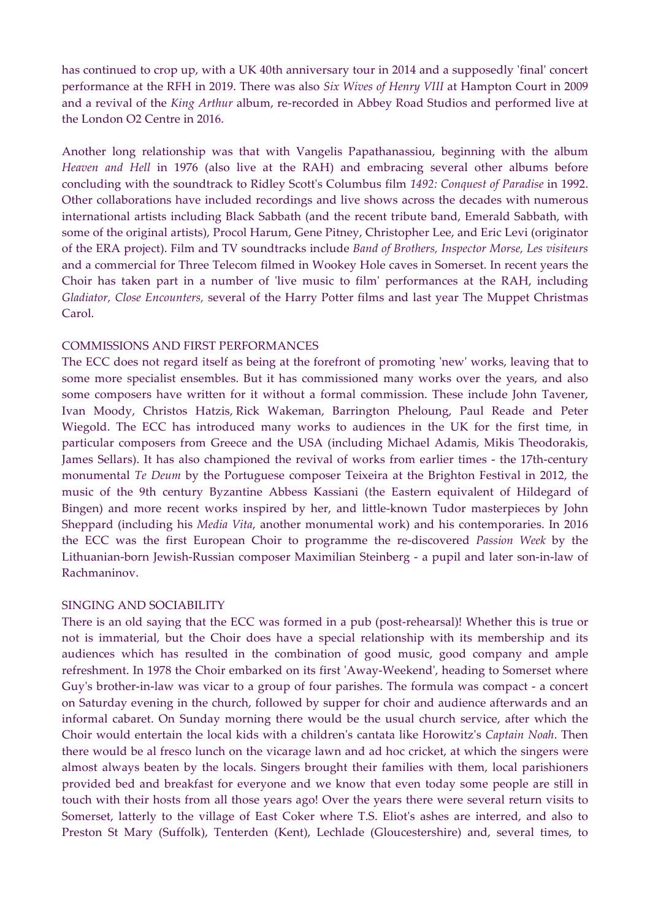has continued to crop up, with a UK 40th anniversary tour in 2014 and a supposedly 'final' concert performance at the RFH in 2019. There was also *Six Wives of Henry VIII* at Hampton Court in 2009 and a revival of the *King Arthur* album, re-recorded in Abbey Road Studios and performed live at the London O2 Centre in 2016.

Another long relationship was that with Vangelis Papathanassiou, beginning with the album *Heaven and Hell* in 1976 (also live at the RAH) and embracing several other albums before concluding with the soundtrack to Ridley Scott's Columbus film *1492: Conquest of Paradise* in 1992. Other collaborations have included recordings and live shows across the decades with numerous international artists including Black Sabbath (and the recent tribute band, Emerald Sabbath, with some of the original artists), Procol Harum, Gene Pitney, Christopher Lee, and Eric Levi (originator of the ERA project). Film and TV soundtracks include *Band of Brothers, Inspector Morse, Les visiteurs* and a commercial for Three Telecom filmed in Wookey Hole caves in Somerset. In recent years the Choir has taken part in a number of 'live music to film' performances at the RAH, including *Gladiator, Close Encounters,* several of the Harry Potter films and last year The Muppet Christmas Carol.

#### COMMISSIONS AND FIRST PERFORMANCES

The ECC does not regard itself as being at the forefront of promoting 'new' works, leaving that to some more specialist ensembles. But it has commissioned many works over the years, and also some composers have written for it without a formal commission. These include John Tavener, Ivan Moody, Christos Hatzis, Rick Wakeman, Barrington Pheloung, Paul Reade and Peter Wiegold. The ECC has introduced many works to audiences in the UK for the first time, in particular composers from Greece and the USA (including Michael Adamis, Mikis Theodorakis, James Sellars). It has also championed the revival of works from earlier times - the 17th-century monumental *Te Deum* by the Portuguese composer Teixeira at the Brighton Festival in 2012, the music of the 9th century Byzantine Abbess Kassiani (the Eastern equivalent of Hildegard of Bingen) and more recent works inspired by her, and little-known Tudor masterpieces by John Sheppard (including his *Media Vita*, another monumental work) and his contemporaries. In 2016 the ECC was the first European Choir to programme the re-discovered *Passion Week* by the Lithuanian-born Jewish-Russian composer Maximilian Steinberg - a pupil and later son-in-law of Rachmaninov.

## SINGING AND SOCIABILITY

There is an old saying that the ECC was formed in a pub (post-rehearsal)! Whether this is true or not is immaterial, but the Choir does have a special relationship with its membership and its audiences which has resulted in the combination of good music, good company and ample refreshment. In 1978 the Choir embarked on its first 'Away-Weekend', heading to Somerset where Guy's brother-in-law was vicar to a group of four parishes. The formula was compact - a concert on Saturday evening in the church, followed by supper for choir and audience afterwards and an informal cabaret. On Sunday morning there would be the usual church service, after which the Choir would entertain the local kids with a children's cantata like Horowitz's *Captain Noah*. Then there would be al fresco lunch on the vicarage lawn and ad hoc cricket, at which the singers were almost always beaten by the locals. Singers brought their families with them, local parishioners provided bed and breakfast for everyone and we know that even today some people are still in touch with their hosts from all those years ago! Over the years there were several return visits to Somerset, latterly to the village of East Coker where T.S. Eliot's ashes are interred, and also to Preston St Mary (Suffolk), Tenterden (Kent), Lechlade (Gloucestershire) and, several times, to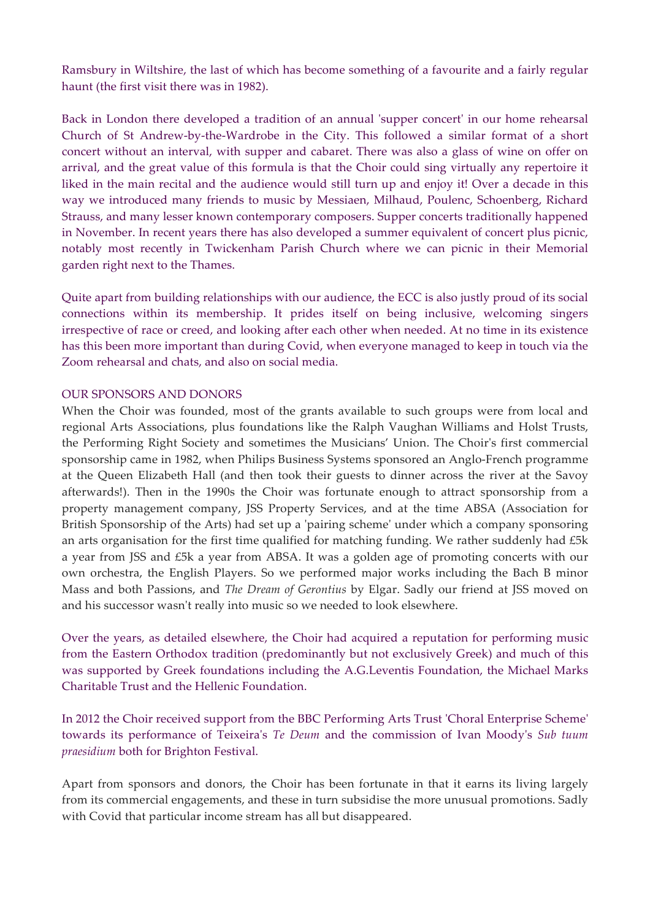Ramsbury in Wiltshire, the last of which has become something of a favourite and a fairly regular haunt (the first visit there was in 1982).

Back in London there developed a tradition of an annual 'supper concert' in our home rehearsal Church of St Andrew-by-the-Wardrobe in the City. This followed a similar format of a short concert without an interval, with supper and cabaret. There was also a glass of wine on offer on arrival, and the great value of this formula is that the Choir could sing virtually any repertoire it liked in the main recital and the audience would still turn up and enjoy it! Over a decade in this way we introduced many friends to music by Messiaen, Milhaud, Poulenc, Schoenberg, Richard Strauss, and many lesser known contemporary composers. Supper concerts traditionally happened in November. In recent years there has also developed a summer equivalent of concert plus picnic, notably most recently in Twickenham Parish Church where we can picnic in their Memorial garden right next to the Thames.

Quite apart from building relationships with our audience, the ECC is also justly proud of its social connections within its membership. It prides itself on being inclusive, welcoming singers irrespective of race or creed, and looking after each other when needed. At no time in its existence has this been more important than during Covid, when everyone managed to keep in touch via the Zoom rehearsal and chats, and also on social media.

## OUR SPONSORS AND DONORS

When the Choir was founded, most of the grants available to such groups were from local and regional Arts Associations, plus foundations like the Ralph Vaughan Williams and Holst Trusts, the Performing Right Society and sometimes the Musicians' Union. The Choir's first commercial sponsorship came in 1982, when Philips Business Systems sponsored an Anglo-French programme at the Queen Elizabeth Hall (and then took their guests to dinner across the river at the Savoy afterwards!). Then in the 1990s the Choir was fortunate enough to attract sponsorship from a property management company, JSS Property Services, and at the time ABSA (Association for British Sponsorship of the Arts) had set up a 'pairing scheme' under which a company sponsoring an arts organisation for the first time qualified for matching funding. We rather suddenly had £5k a year from JSS and £5k a year from ABSA. It was a golden age of promoting concerts with our own orchestra, the English Players. So we performed major works including the Bach B minor Mass and both Passions, and *The Dream of Gerontius* by Elgar. Sadly our friend at JSS moved on and his successor wasn't really into music so we needed to look elsewhere.

Over the years, as detailed elsewhere, the Choir had acquired a reputation for performing music from the Eastern Orthodox tradition (predominantly but not exclusively Greek) and much of this was supported by Greek foundations including the A.G.Leventis Foundation, the Michael Marks Charitable Trust and the Hellenic Foundation.

In 2012 the Choir received support from the BBC Performing Arts Trust 'Choral Enterprise Scheme' towards its performance of Teixeira's *Te Deum* and the commission of Ivan Moody's *Sub tuum praesidium* both for Brighton Festival.

Apart from sponsors and donors, the Choir has been fortunate in that it earns its living largely from its commercial engagements, and these in turn subsidise the more unusual promotions. Sadly with Covid that particular income stream has all but disappeared.